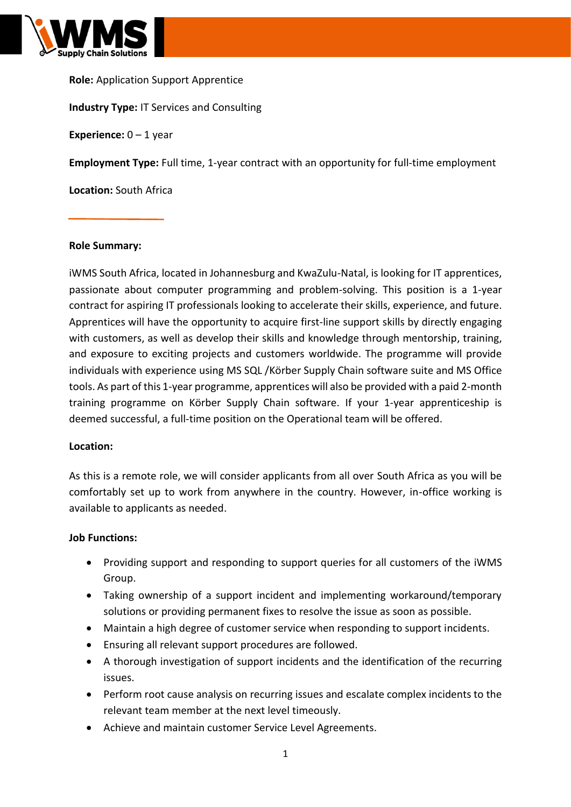

**Role:** Application Support Apprentice **Industry Type:** IT Services and Consulting **Experience:**  $0 - 1$  year **Employment Type:** Full time, 1-year contract with an opportunity for full-time employment **Location:** South Africa

#### **Role Summary:**

iWMS South Africa, located in Johannesburg and KwaZulu-Natal, is looking for IT apprentices, passionate about computer programming and problem-solving. This position is a 1-year contract for aspiring IT professionals looking to accelerate their skills, experience, and future. Apprentices will have the opportunity to acquire first-line support skills by directly engaging with customers, as well as develop their skills and knowledge through mentorship, training, and exposure to exciting projects and customers worldwide. The programme will provide individuals with experience using MS SQL /Körber Supply Chain software suite and MS Office tools. As part of this 1-year programme, apprentices will also be provided with a paid 2-month training programme on Körber Supply Chain software. If your 1-year apprenticeship is deemed successful, a full-time position on the Operational team will be offered.

#### **Location:**

As this is a remote role, we will consider applicants from all over South Africa as you will be comfortably set up to work from anywhere in the country. However, in-office working is available to applicants as needed.

#### **Job Functions:**

- Providing support and responding to support queries for all customers of the iWMS Group.
- Taking ownership of a support incident and implementing workaround/temporary solutions or providing permanent fixes to resolve the issue as soon as possible.
- Maintain a high degree of customer service when responding to support incidents.
- Ensuring all relevant support procedures are followed.
- A thorough investigation of support incidents and the identification of the recurring issues.
- Perform root cause analysis on recurring issues and escalate complex incidents to the relevant team member at the next level timeously.
- Achieve and maintain customer Service Level Agreements.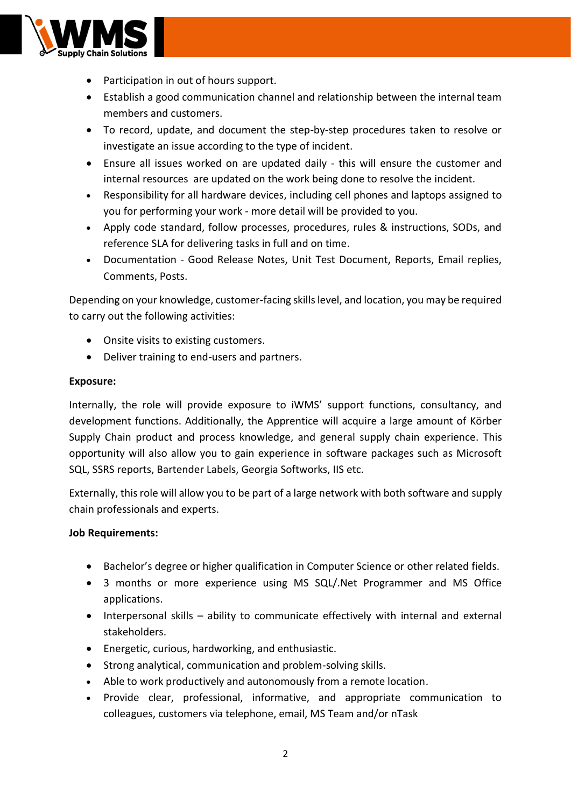

- Participation in out of hours support.
- Establish a good communication channel and relationship between the internal team members and customers.
- To record, update, and document the step-by-step procedures taken to resolve or investigate an issue according to the type of incident.
- Ensure all issues worked on are updated daily this will ensure the customer and internal resources are updated on the work being done to resolve the incident.
- Responsibility for all hardware devices, including cell phones and laptops assigned to you for performing your work - more detail will be provided to you.
- Apply code standard, follow processes, procedures, rules & instructions, SODs, and reference SLA for delivering tasks in full and on time.
- Documentation Good Release Notes, Unit Test Document, Reports, Email replies, Comments, Posts.

Depending on your knowledge, customer-facing skills level, and location, you may be required to carry out the following activities:

- Onsite visits to existing customers.
- Deliver training to end-users and partners.

### **Exposure:**

Internally, the role will provide exposure to iWMS' support functions, consultancy, and development functions. Additionally, the Apprentice will acquire a large amount of Körber Supply Chain product and process knowledge, and general supply chain experience. This opportunity will also allow you to gain experience in software packages such as Microsoft SQL, SSRS reports, Bartender Labels, Georgia Softworks, IIS etc.

Externally, this role will allow you to be part of a large network with both software and supply chain professionals and experts.

#### **Job Requirements:**

- Bachelor's degree or higher qualification in Computer Science or other related fields.
- 3 months or more experience using MS SQL/.Net Programmer and MS Office applications.
- Interpersonal skills ability to communicate effectively with internal and external stakeholders.
- Energetic, curious, hardworking, and enthusiastic.
- Strong analytical, communication and problem-solving skills.
- Able to work productively and autonomously from a remote location.
- Provide clear, professional, informative, and appropriate communication to colleagues, customers via telephone, email, MS Team and/or nTask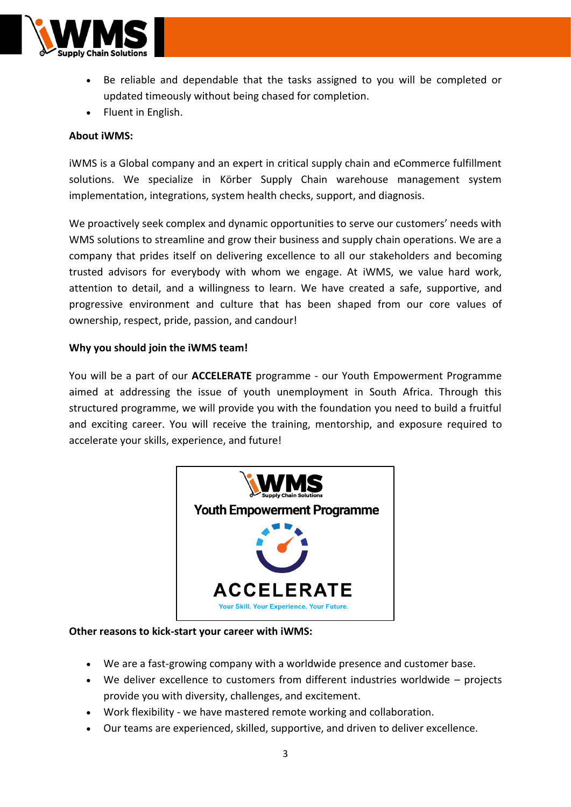

- Be reliable and dependable that the tasks assigned to you will be completed or updated timeously without being chased for completion.
- Fluent in English.

# **About iWMS:**

iWMS is a Global company and an expert in critical supply chain and eCommerce fulfillment solutions. We specialize in Körber Supply Chain warehouse management system implementation, integrations, system health checks, support, and diagnosis.

We proactively seek complex and dynamic opportunities to serve our customers' needs with WMS solutions to streamline and grow their business and supply chain operations. We are a company that prides itself on delivering excellence to all our stakeholders and becoming trusted advisors for everybody with whom we engage. At iWMS, we value hard work, attention to detail, and a willingness to learn. We have created a safe, supportive, and progressive environment and culture that has been shaped from our core values of ownership, respect, pride, passion, and candour!

## **Why you should join the iWMS team!**

You will be a part of our **ACCELERATE** programme - our Youth Empowerment Programme aimed at addressing the issue of youth unemployment in South Africa. Through this structured programme, we will provide you with the foundation you need to build a fruitful and exciting career. You will receive the training, mentorship, and exposure required to accelerate your skills, experience, and future!



#### **Other reasons to kick-start your career with iWMS:**

- We are a fast-growing company with a worldwide presence and customer base.
- We deliver excellence to customers from different industries worldwide projects provide you with diversity, challenges, and excitement.
- Work flexibility we have mastered remote working and collaboration.
- Our teams are experienced, skilled, supportive, and driven to deliver excellence.